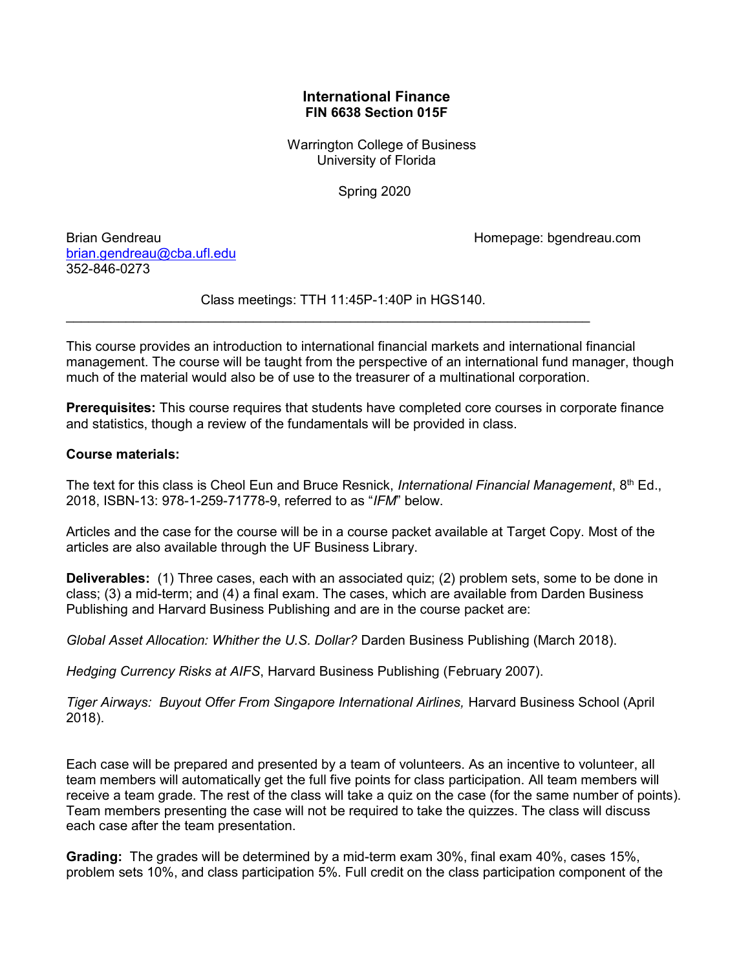# International Finance FIN 6638 Section 015F

 Warrington College of Business University of Florida

Spring 2020

Brian Gendreau Homepage: bgendreau.com

brian.gendreau@cba.ufl.edu 352-846-0273

Class meetings: TTH 11:45P-1:40P in HGS140.

 $\mathcal{L}_\text{max}$  and  $\mathcal{L}_\text{max}$  and  $\mathcal{L}_\text{max}$  and  $\mathcal{L}_\text{max}$  and  $\mathcal{L}_\text{max}$  and  $\mathcal{L}_\text{max}$ 

This course provides an introduction to international financial markets and international financial management. The course will be taught from the perspective of an international fund manager, though much of the material would also be of use to the treasurer of a multinational corporation.

Prerequisites: This course requires that students have completed core courses in corporate finance and statistics, though a review of the fundamentals will be provided in class.

# Course materials:

The text for this class is Cheol Eun and Bruce Resnick, International Financial Management, 8th Ed., 2018, ISBN-13: 978-1-259-71778-9, referred to as "IFM" below.

Articles and the case for the course will be in a course packet available at Target Copy. Most of the articles are also available through the UF Business Library.

Deliverables: (1) Three cases, each with an associated quiz; (2) problem sets, some to be done in class; (3) a mid-term; and (4) a final exam. The cases, which are available from Darden Business Publishing and Harvard Business Publishing and are in the course packet are:

Global Asset Allocation: Whither the U.S. Dollar? Darden Business Publishing (March 2018).

Hedging Currency Risks at AIFS, Harvard Business Publishing (February 2007).

Tiger Airways: Buyout Offer From Singapore International Airlines, Harvard Business School (April 2018).

Each case will be prepared and presented by a team of volunteers. As an incentive to volunteer, all team members will automatically get the full five points for class participation. All team members will receive a team grade. The rest of the class will take a quiz on the case (for the same number of points). Team members presenting the case will not be required to take the quizzes. The class will discuss each case after the team presentation.

Grading: The grades will be determined by a mid-term exam 30%, final exam 40%, cases 15%, problem sets 10%, and class participation 5%. Full credit on the class participation component of the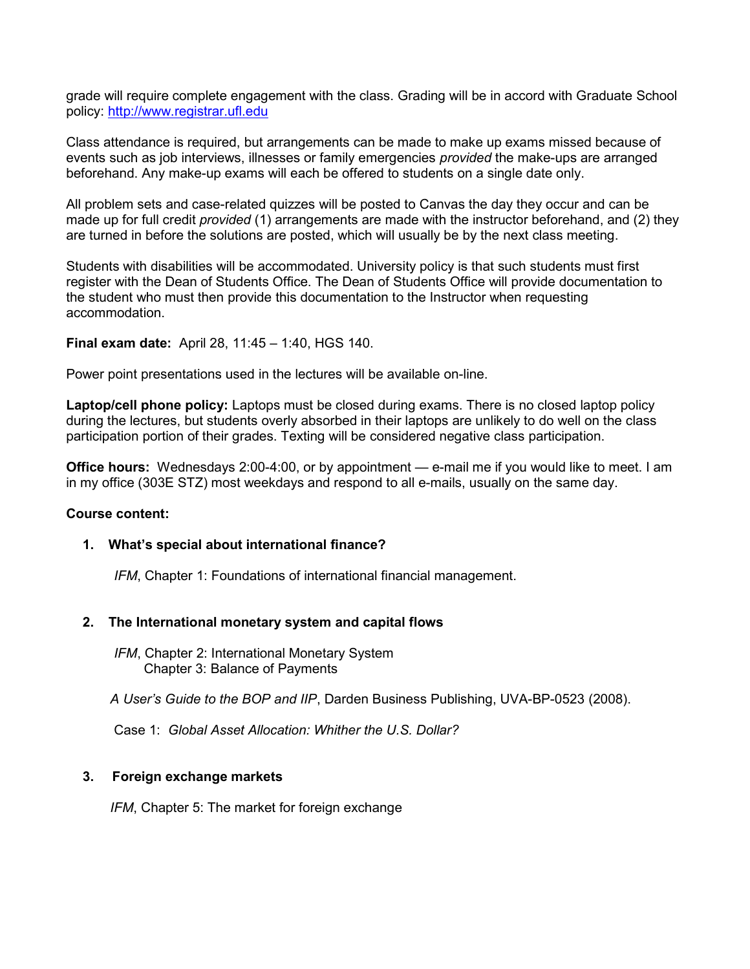grade will require complete engagement with the class. Grading will be in accord with Graduate School policy: http://www.registrar.ufl.edu

Class attendance is required, but arrangements can be made to make up exams missed because of events such as job interviews, illnesses or family emergencies provided the make-ups are arranged beforehand. Any make-up exams will each be offered to students on a single date only.

All problem sets and case-related quizzes will be posted to Canvas the day they occur and can be made up for full credit provided (1) arrangements are made with the instructor beforehand, and (2) they are turned in before the solutions are posted, which will usually be by the next class meeting.

Students with disabilities will be accommodated. University policy is that such students must first register with the Dean of Students Office. The Dean of Students Office will provide documentation to the student who must then provide this documentation to the Instructor when requesting accommodation.

Final exam date: April 28, 11:45 – 1:40, HGS 140.

Power point presentations used in the lectures will be available on-line.

Laptop/cell phone policy: Laptops must be closed during exams. There is no closed laptop policy during the lectures, but students overly absorbed in their laptops are unlikely to do well on the class participation portion of their grades. Texting will be considered negative class participation.

Office hours: Wednesdays 2:00-4:00, or by appointment — e-mail me if you would like to meet. I am in my office (303E STZ) most weekdays and respond to all e-mails, usually on the same day.

### Course content:

### 1. What's special about international finance?

IFM, Chapter 1: Foundations of international financial management.

### 2. The International monetary system and capital flows

IFM, Chapter 2: International Monetary System Chapter 3: Balance of Payments

A User's Guide to the BOP and IIP, Darden Business Publishing, UVA-BP-0523 (2008).

Case 1: Global Asset Allocation: Whither the U.S. Dollar?

# 3. Foreign exchange markets

IFM, Chapter 5: The market for foreign exchange